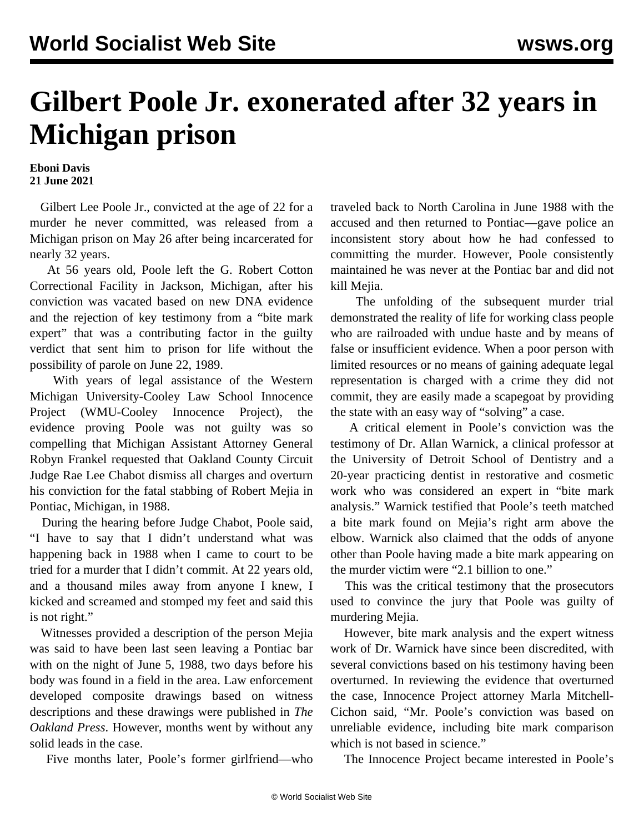## **Gilbert Poole Jr. exonerated after 32 years in Michigan prison**

## **Eboni Davis 21 June 2021**

 Gilbert Lee Poole Jr., convicted at the age of 22 for a murder he never committed, was released from a Michigan prison on May 26 after being incarcerated for nearly 32 years.

 At 56 years old, Poole left the G. Robert Cotton Correctional Facility in Jackson, Michigan, after his conviction was vacated based on new DNA evidence and the rejection of key testimony from a "bite mark expert" that was a contributing factor in the guilty verdict that sent him to prison for life without the possibility of parole on June 22, 1989.

 With years of legal assistance of the Western Michigan University-Cooley Law School Innocence Project (WMU-Cooley Innocence Project), the evidence proving Poole was not guilty was so compelling that Michigan Assistant Attorney General Robyn Frankel requested that Oakland County Circuit Judge Rae Lee Chabot dismiss all charges and overturn his conviction for the fatal stabbing of Robert Mejia in Pontiac, Michigan, in 1988.

 During the hearing before Judge Chabot, Poole said, "I have to say that I didn't understand what was happening back in 1988 when I came to court to be tried for a murder that I didn't commit. At 22 years old, and a thousand miles away from anyone I knew, I kicked and screamed and stomped my feet and said this is not right."

 Witnesses provided a description of the person Mejia was said to have been last seen leaving a Pontiac bar with on the night of June 5, 1988, two days before his body was found in a field in the area. Law enforcement developed composite drawings based on witness descriptions and these drawings were published in *The Oakland Press*. However, months went by without any solid leads in the case.

Five months later, Poole's former girlfriend—who

traveled back to North Carolina in June 1988 with the accused and then returned to Pontiac—gave police an inconsistent story about how he had confessed to committing the murder. However, Poole consistently maintained he was never at the Pontiac bar and did not kill Mejia.

 The unfolding of the subsequent murder trial demonstrated the reality of life for working class people who are railroaded with undue haste and by means of false or insufficient evidence. When a poor person with limited resources or no means of gaining adequate legal representation is charged with a crime they did not commit, they are easily made a scapegoat by providing the state with an easy way of "solving" a case.

 A critical element in Poole's conviction was the testimony of Dr. Allan Warnick, a clinical professor at the University of Detroit School of Dentistry and a 20-year practicing dentist in restorative and cosmetic work who was considered an expert in "bite mark analysis." Warnick testified that Poole's teeth matched a bite mark found on Mejia's right arm above the elbow. Warnick also claimed that the odds of anyone other than Poole having made a bite mark appearing on the murder victim were "2.1 billion to one."

 This was the critical testimony that the prosecutors used to convince the jury that Poole was guilty of murdering Mejia.

 However, bite mark analysis and the expert witness work of Dr. Warnick have since been discredited, with several convictions based on his testimony having been overturned. In reviewing the evidence that overturned the case, Innocence Project attorney Marla Mitchell-Cichon said, "Mr. Poole's conviction was based on unreliable evidence, including bite mark comparison which is not based in science."

The Innocence Project became interested in Poole's